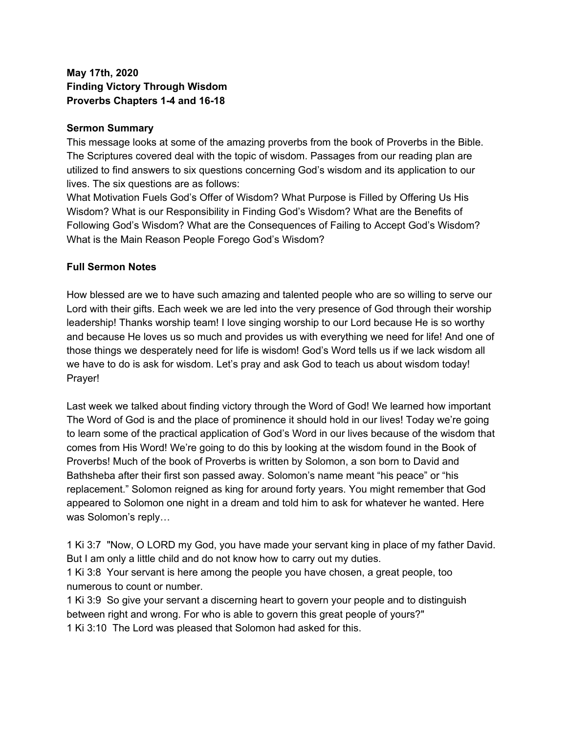## **May 17th, 2020 Finding Victory Through Wisdom Proverbs Chapters 1-4 and 16-18**

#### **Sermon Summary**

This message looks at some of the amazing proverbs from the book of Proverbs in the Bible. The Scriptures covered deal with the topic of wisdom. Passages from our reading plan are utilized to find answers to six questions concerning God's wisdom and its application to our lives. The six questions are as follows:

What Motivation Fuels God's Offer of Wisdom? What Purpose is Filled by Offering Us His Wisdom? What is our Responsibility in Finding God's Wisdom? What are the Benefits of Following God's Wisdom? What are the Consequences of Failing to Accept God's Wisdom? What is the Main Reason People Forego God's Wisdom?

#### **Full Sermon Notes**

How blessed are we to have such amazing and talented people who are so willing to serve our Lord with their gifts. Each week we are led into the very presence of God through their worship leadership! Thanks worship team! I love singing worship to our Lord because He is so worthy and because He loves us so much and provides us with everything we need for life! And one of those things we desperately need for life is wisdom! God's Word tells us if we lack wisdom all we have to do is ask for wisdom. Let's pray and ask God to teach us about wisdom today! Prayer!

Last week we talked about finding victory through the Word of God! We learned how important The Word of God is and the place of prominence it should hold in our lives! Today we're going to learn some of the practical application of God's Word in our lives because of the wisdom that comes from His Word! We're going to do this by looking at the wisdom found in the Book of Proverbs! Much of the book of Proverbs is written by Solomon, a son born to David and Bathsheba after their first son passed away. Solomon's name meant "his peace" or "his replacement." Solomon reigned as king for around forty years. You might remember that God appeared to Solomon one night in a dream and told him to ask for whatever he wanted. Here was Solomon's reply…

1 Ki 3:7 "Now, O LORD my God, you have made your servant king in place of my father David. But I am only a little child and do not know how to carry out my duties.

1 Ki 3:8 Your servant is here among the people you have chosen, a great people, too numerous to count or number.

1 Ki 3:9 So give your servant a discerning heart to govern your people and to distinguish between right and wrong. For who is able to govern this great people of yours?" 1 Ki 3:10 The Lord was pleased that Solomon had asked for this.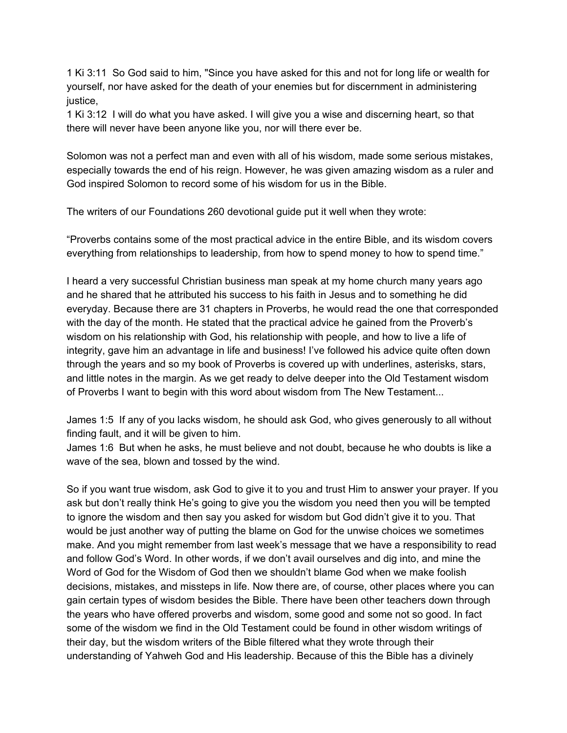1 Ki 3:11 So God said to him, "Since you have asked for this and not for long life or wealth for yourself, nor have asked for the death of your enemies but for discernment in administering justice,

1 Ki 3:12 I will do what you have asked. I will give you a wise and discerning heart, so that there will never have been anyone like you, nor will there ever be.

Solomon was not a perfect man and even with all of his wisdom, made some serious mistakes, especially towards the end of his reign. However, he was given amazing wisdom as a ruler and God inspired Solomon to record some of his wisdom for us in the Bible.

The writers of our Foundations 260 devotional guide put it well when they wrote:

"Proverbs contains some of the most practical advice in the entire Bible, and its wisdom covers everything from relationships to leadership, from how to spend money to how to spend time."

I heard a very successful Christian business man speak at my home church many years ago and he shared that he attributed his success to his faith in Jesus and to something he did everyday. Because there are 31 chapters in Proverbs, he would read the one that corresponded with the day of the month. He stated that the practical advice he gained from the Proverb's wisdom on his relationship with God, his relationship with people, and how to live a life of integrity, gave him an advantage in life and business! I've followed his advice quite often down through the years and so my book of Proverbs is covered up with underlines, asterisks, stars, and little notes in the margin. As we get ready to delve deeper into the Old Testament wisdom of Proverbs I want to begin with this word about wisdom from The New Testament...

James 1:5 If any of you lacks wisdom, he should ask God, who gives generously to all without finding fault, and it will be given to him.

James 1:6 But when he asks, he must believe and not doubt, because he who doubts is like a wave of the sea, blown and tossed by the wind.

So if you want true wisdom, ask God to give it to you and trust Him to answer your prayer. If you ask but don't really think He's going to give you the wisdom you need then you will be tempted to ignore the wisdom and then say you asked for wisdom but God didn't give it to you. That would be just another way of putting the blame on God for the unwise choices we sometimes make. And you might remember from last week's message that we have a responsibility to read and follow God's Word. In other words, if we don't avail ourselves and dig into, and mine the Word of God for the Wisdom of God then we shouldn't blame God when we make foolish decisions, mistakes, and missteps in life. Now there are, of course, other places where you can gain certain types of wisdom besides the Bible. There have been other teachers down through the years who have offered proverbs and wisdom, some good and some not so good. In fact some of the wisdom we find in the Old Testament could be found in other wisdom writings of their day, but the wisdom writers of the Bible filtered what they wrote through their understanding of Yahweh God and His leadership. Because of this the Bible has a divinely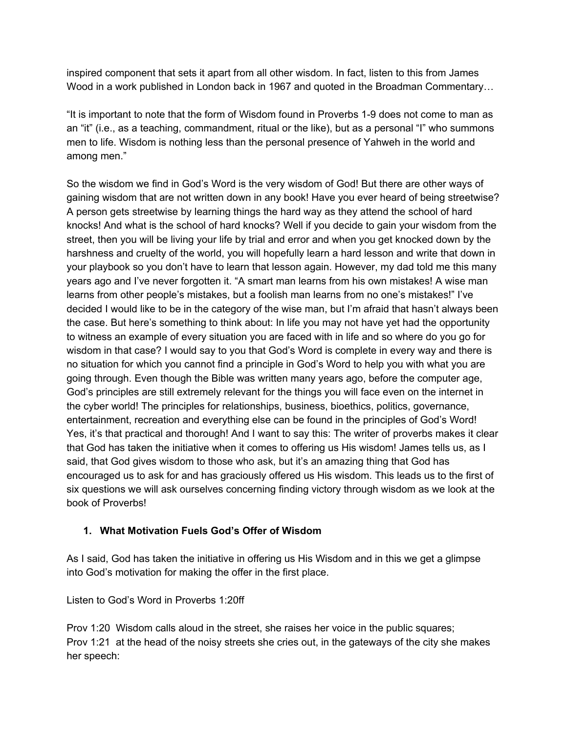inspired component that sets it apart from all other wisdom. In fact, listen to this from James Wood in a work published in London back in 1967 and quoted in the Broadman Commentary…

"It is important to note that the form of Wisdom found in Proverbs 1-9 does not come to man as an "it" (i.e., as a teaching, commandment, ritual or the like), but as a personal "I" who summons men to life. Wisdom is nothing less than the personal presence of Yahweh in the world and among men."

So the wisdom we find in God's Word is the very wisdom of God! But there are other ways of gaining wisdom that are not written down in any book! Have you ever heard of being streetwise? A person gets streetwise by learning things the hard way as they attend the school of hard knocks! And what is the school of hard knocks? Well if you decide to gain your wisdom from the street, then you will be living your life by trial and error and when you get knocked down by the harshness and cruelty of the world, you will hopefully learn a hard lesson and write that down in your playbook so you don't have to learn that lesson again. However, my dad told me this many years ago and I've never forgotten it. "A smart man learns from his own mistakes! A wise man learns from other people's mistakes, but a foolish man learns from no one's mistakes!" I've decided I would like to be in the category of the wise man, but I'm afraid that hasn't always been the case. But here's something to think about: In life you may not have yet had the opportunity to witness an example of every situation you are faced with in life and so where do you go for wisdom in that case? I would say to you that God's Word is complete in every way and there is no situation for which you cannot find a principle in God's Word to help you with what you are going through. Even though the Bible was written many years ago, before the computer age, God's principles are still extremely relevant for the things you will face even on the internet in the cyber world! The principles for relationships, business, bioethics, politics, governance, entertainment, recreation and everything else can be found in the principles of God's Word! Yes, it's that practical and thorough! And I want to say this: The writer of proverbs makes it clear that God has taken the initiative when it comes to offering us His wisdom! James tells us, as I said, that God gives wisdom to those who ask, but it's an amazing thing that God has encouraged us to ask for and has graciously offered us His wisdom. This leads us to the first of six questions we will ask ourselves concerning finding victory through wisdom as we look at the book of Proverbs!

# **1. What Motivation Fuels God's Offer of Wisdom**

As I said, God has taken the initiative in offering us His Wisdom and in this we get a glimpse into God's motivation for making the offer in the first place.

Listen to God's Word in Proverbs 1:20ff

Prov 1:20 Wisdom calls aloud in the street, she raises her voice in the public squares; Prov 1:21 at the head of the noisy streets she cries out, in the gateways of the city she makes her speech: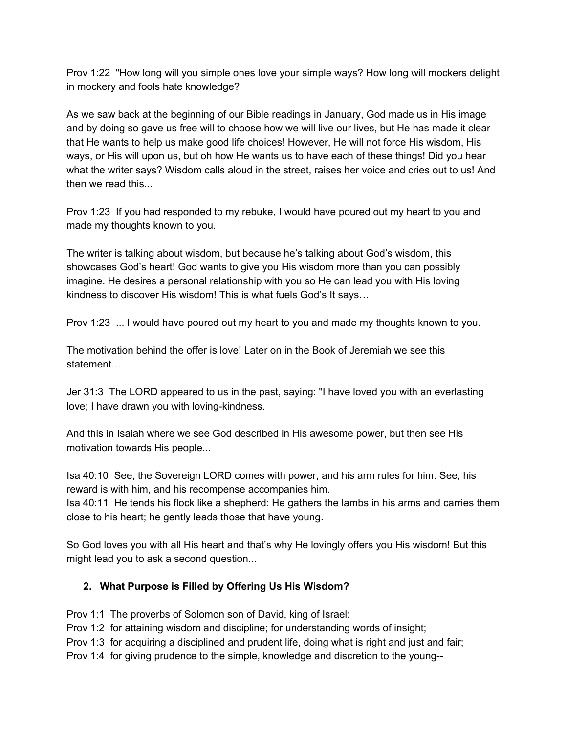Prov 1:22 "How long will you simple ones love your simple ways? How long will mockers delight in mockery and fools hate knowledge?

As we saw back at the beginning of our Bible readings in January, God made us in His image and by doing so gave us free will to choose how we will live our lives, but He has made it clear that He wants to help us make good life choices! However, He will not force His wisdom, His ways, or His will upon us, but oh how He wants us to have each of these things! Did you hear what the writer says? Wisdom calls aloud in the street, raises her voice and cries out to us! And then we read this...

Prov 1:23 If you had responded to my rebuke, I would have poured out my heart to you and made my thoughts known to you.

The writer is talking about wisdom, but because he's talking about God's wisdom, this showcases God's heart! God wants to give you His wisdom more than you can possibly imagine. He desires a personal relationship with you so He can lead you with His loving kindness to discover His wisdom! This is what fuels God's It says…

Prov 1:23 ... I would have poured out my heart to you and made my thoughts known to you.

The motivation behind the offer is love! Later on in the Book of Jeremiah we see this statement…

Jer 31:3 The LORD appeared to us in the past, saying: "I have loved you with an everlasting love; I have drawn you with loving-kindness.

And this in Isaiah where we see God described in His awesome power, but then see His motivation towards His people...

Isa 40:10 See, the Sovereign LORD comes with power, and his arm rules for him. See, his reward is with him, and his recompense accompanies him.

Isa 40:11 He tends his flock like a shepherd: He gathers the lambs in his arms and carries them close to his heart; he gently leads those that have young.

So God loves you with all His heart and that's why He lovingly offers you His wisdom! But this might lead you to ask a second question...

### **2. What Purpose is Filled by Offering Us His Wisdom?**

Prov 1:1 The proverbs of Solomon son of David, king of Israel:

Prov 1:2 for attaining wisdom and discipline; for understanding words of insight;

Prov 1:3 for acquiring a disciplined and prudent life, doing what is right and just and fair;

Prov 1:4 for giving prudence to the simple, knowledge and discretion to the young--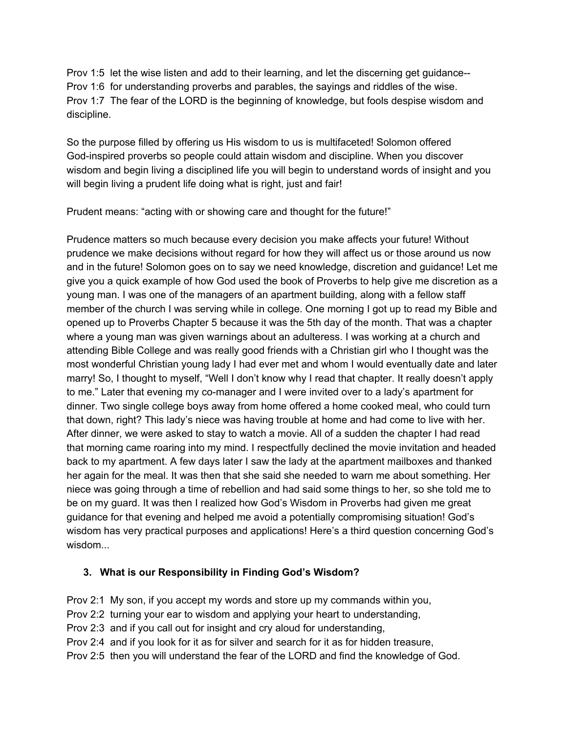Prov 1:5 let the wise listen and add to their learning, and let the discerning get guidance-- Prov 1:6 for understanding proverbs and parables, the sayings and riddles of the wise. Prov 1:7 The fear of the LORD is the beginning of knowledge, but fools despise wisdom and discipline.

So the purpose filled by offering us His wisdom to us is multifaceted! Solomon offered God-inspired proverbs so people could attain wisdom and discipline. When you discover wisdom and begin living a disciplined life you will begin to understand words of insight and you will begin living a prudent life doing what is right, just and fair!

Prudent means: "acting with or showing care and thought for the future!"

Prudence matters so much because every decision you make affects your future! Without prudence we make decisions without regard for how they will affect us or those around us now and in the future! Solomon goes on to say we need knowledge, discretion and guidance! Let me give you a quick example of how God used the book of Proverbs to help give me discretion as a young man. I was one of the managers of an apartment building, along with a fellow staff member of the church I was serving while in college. One morning I got up to read my Bible and opened up to Proverbs Chapter 5 because it was the 5th day of the month. That was a chapter where a young man was given warnings about an adulteress. I was working at a church and attending Bible College and was really good friends with a Christian girl who I thought was the most wonderful Christian young lady I had ever met and whom I would eventually date and later marry! So, I thought to myself, "Well I don't know why I read that chapter. It really doesn't apply to me." Later that evening my co-manager and I were invited over to a lady's apartment for dinner. Two single college boys away from home offered a home cooked meal, who could turn that down, right? This lady's niece was having trouble at home and had come to live with her. After dinner, we were asked to stay to watch a movie. All of a sudden the chapter I had read that morning came roaring into my mind. I respectfully declined the movie invitation and headed back to my apartment. A few days later I saw the lady at the apartment mailboxes and thanked her again for the meal. It was then that she said she needed to warn me about something. Her niece was going through a time of rebellion and had said some things to her, so she told me to be on my guard. It was then I realized how God's Wisdom in Proverbs had given me great guidance for that evening and helped me avoid a potentially compromising situation! God's wisdom has very practical purposes and applications! Here's a third question concerning God's wisdom...

### **3. What is our Responsibility in Finding God's Wisdom?**

Prov 2:1 My son, if you accept my words and store up my commands within you,

- Prov 2:2 turning your ear to wisdom and applying your heart to understanding,
- Prov 2:3 and if you call out for insight and cry aloud for understanding,
- Prov 2:4 and if you look for it as for silver and search for it as for hidden treasure,
- Prov 2:5 then you will understand the fear of the LORD and find the knowledge of God.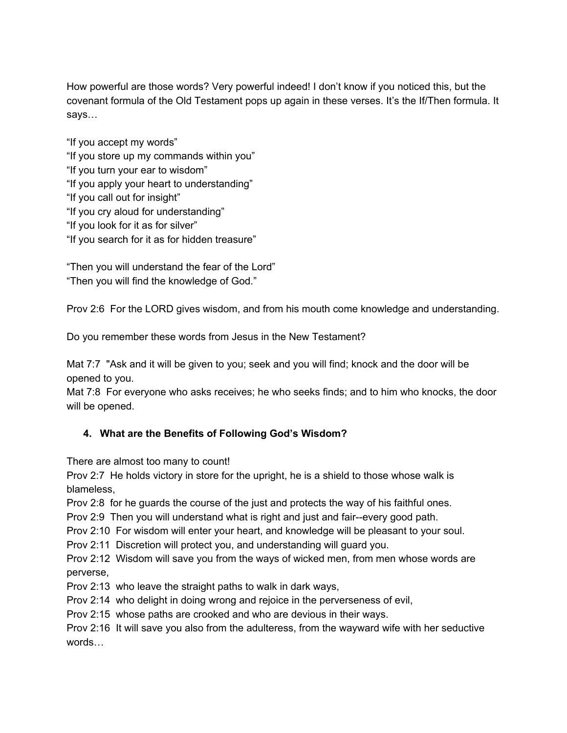How powerful are those words? Very powerful indeed! I don't know if you noticed this, but the covenant formula of the Old Testament pops up again in these verses. It's the If/Then formula. It says…

"If you accept my words" "If you store up my commands within you" "If you turn your ear to wisdom" "If you apply your heart to understanding" "If you call out for insight" "If you cry aloud for understanding" "If you look for it as for silver" "If you search for it as for hidden treasure"

"Then you will understand the fear of the Lord" "Then you will find the knowledge of God."

Prov 2:6 For the LORD gives wisdom, and from his mouth come knowledge and understanding.

Do you remember these words from Jesus in the New Testament?

Mat 7:7 "Ask and it will be given to you; seek and you will find; knock and the door will be opened to you.

Mat 7:8 For everyone who asks receives; he who seeks finds; and to him who knocks, the door will be opened.

# **4. What are the Benefits of Following God's Wisdom?**

There are almost too many to count!

Prov 2:7 He holds victory in store for the upright, he is a shield to those whose walk is blameless,

Prov 2:8 for he guards the course of the just and protects the way of his faithful ones.

Prov 2:9 Then you will understand what is right and just and fair--every good path.

Prov 2:10 For wisdom will enter your heart, and knowledge will be pleasant to your soul.

Prov 2:11 Discretion will protect you, and understanding will guard you.

Prov 2:12 Wisdom will save you from the ways of wicked men, from men whose words are perverse,

Prov 2:13 who leave the straight paths to walk in dark ways,

Prov 2:14 who delight in doing wrong and rejoice in the perverseness of evil,

Prov 2:15 whose paths are crooked and who are devious in their ways.

Prov 2:16 It will save you also from the adulteress, from the wayward wife with her seductive words…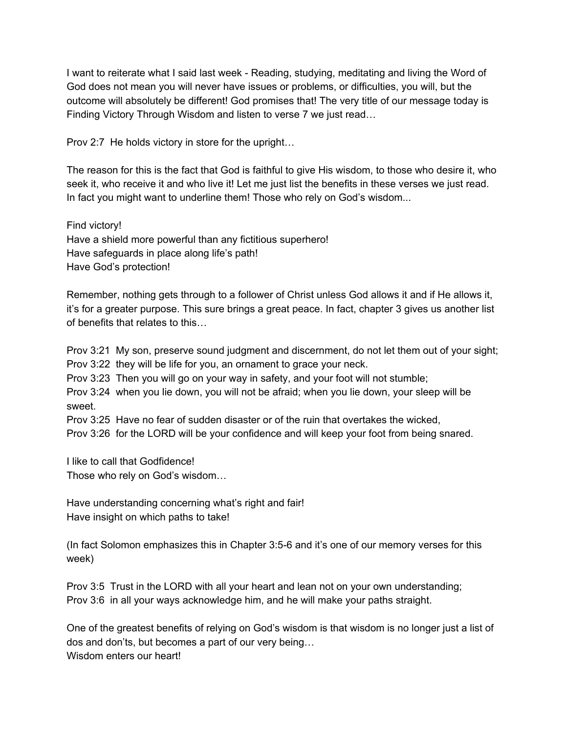I want to reiterate what I said last week - Reading, studying, meditating and living the Word of God does not mean you will never have issues or problems, or difficulties, you will, but the outcome will absolutely be different! God promises that! The very title of our message today is Finding Victory Through Wisdom and listen to verse 7 we just read…

Prov 2:7 He holds victory in store for the upright…

The reason for this is the fact that God is faithful to give His wisdom, to those who desire it, who seek it, who receive it and who live it! Let me just list the benefits in these verses we just read. In fact you might want to underline them! Those who rely on God's wisdom...

Find victory! Have a shield more powerful than any fictitious superhero! Have safeguards in place along life's path! Have God's protection!

Remember, nothing gets through to a follower of Christ unless God allows it and if He allows it, it's for a greater purpose. This sure brings a great peace. In fact, chapter 3 gives us another list of benefits that relates to this…

Prov 3:21 My son, preserve sound judgment and discernment, do not let them out of your sight; Prov 3:22 they will be life for you, an ornament to grace your neck.

Prov 3:23 Then you will go on your way in safety, and your foot will not stumble;

Prov 3:24 when you lie down, you will not be afraid; when you lie down, your sleep will be sweet.

Prov 3:25 Have no fear of sudden disaster or of the ruin that overtakes the wicked,

Prov 3:26 for the LORD will be your confidence and will keep your foot from being snared.

I like to call that Godfidence!

Those who rely on God's wisdom…

Have understanding concerning what's right and fair! Have insight on which paths to take!

(In fact Solomon emphasizes this in Chapter 3:5-6 and it's one of our memory verses for this week)

Prov 3:5 Trust in the LORD with all your heart and lean not on your own understanding; Prov 3:6 in all your ways acknowledge him, and he will make your paths straight.

One of the greatest benefits of relying on God's wisdom is that wisdom is no longer just a list of dos and don'ts, but becomes a part of our very being… Wisdom enters our heart!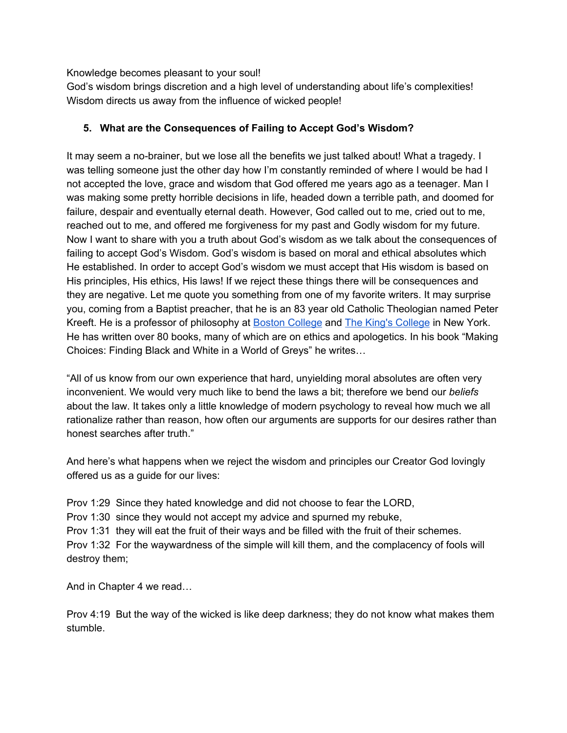Knowledge becomes pleasant to your soul!

God's wisdom brings discretion and a high level of understanding about life's complexities! Wisdom directs us away from the influence of wicked people!

## **5. What are the Consequences of Failing to Accept God's Wisdom?**

It may seem a no-brainer, but we lose all the benefits we just talked about! What a tragedy. I was telling someone just the other day how I'm constantly reminded of where I would be had I not accepted the love, grace and wisdom that God offered me years ago as a teenager. Man I was making some pretty horrible decisions in life, headed down a terrible path, and doomed for failure, despair and eventually eternal death. However, God called out to me, cried out to me, reached out to me, and offered me forgiveness for my past and Godly wisdom for my future. Now I want to share with you a truth about God's wisdom as we talk about the consequences of failing to accept God's Wisdom. God's wisdom is based on moral and ethical absolutes which He established. In order to accept God's wisdom we must accept that His wisdom is based on His principles, His ethics, His laws! If we reject these things there will be consequences and they are negative. Let me quote you something from one of my favorite writers. It may surprise you, coming from a Baptist preacher, that he is an 83 year old Catholic Theologian named Peter Kreeft. He is a professor of philosophy at [B](https://en.wikipedia.org/wiki/Boston_College)oston [College](https://en.wikipedia.org/wiki/Boston_College) and [T](https://en.wikipedia.org/wiki/The_King%27s_College_%28New_York%29)he King's [College](https://en.wikipedia.org/wiki/The_King%27s_College_%28New_York%29) in New York. He has written over 80 books, many of which are on ethics and apologetics. In his book "Making Choices: Finding Black and White in a World of Greys" he writes…

"All of us know from our own experience that hard, unyielding moral absolutes are often very inconvenient. We would very much like to bend the laws a bit; therefore we bend our *beliefs* about the law. It takes only a little knowledge of modern psychology to reveal how much we all rationalize rather than reason, how often our arguments are supports for our desires rather than honest searches after truth."

And here's what happens when we reject the wisdom and principles our Creator God lovingly offered us as a guide for our lives:

Prov 1:29 Since they hated knowledge and did not choose to fear the LORD, Prov 1:30 since they would not accept my advice and spurned my rebuke, Prov 1:31 they will eat the fruit of their ways and be filled with the fruit of their schemes. Prov 1:32 For the waywardness of the simple will kill them, and the complacency of fools will destroy them;

And in Chapter 4 we read…

Prov 4:19 But the way of the wicked is like deep darkness; they do not know what makes them stumble.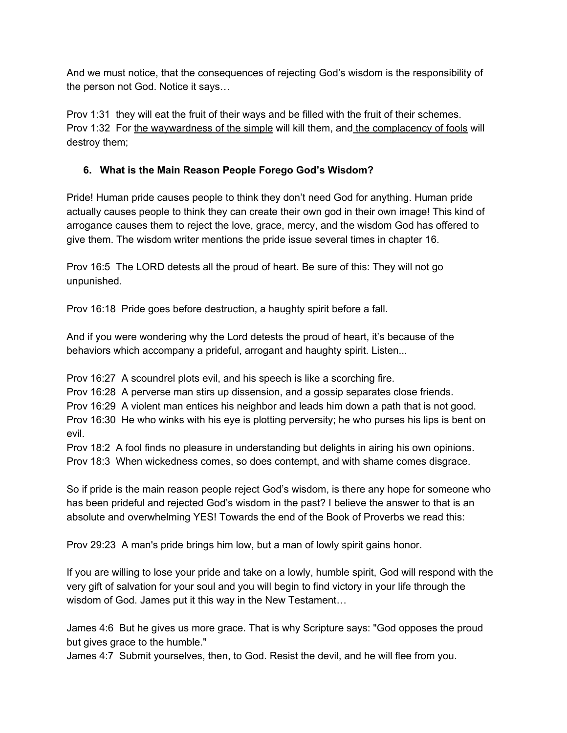And we must notice, that the consequences of rejecting God's wisdom is the responsibility of the person not God. Notice it says…

Prov 1:31 they will eat the fruit of their ways and be filled with the fruit of their schemes. Prov 1:32 For the waywardness of the simple will kill them, and the complacency of fools will destroy them;

# **6. What is the Main Reason People Forego God's Wisdom?**

Pride! Human pride causes people to think they don't need God for anything. Human pride actually causes people to think they can create their own god in their own image! This kind of arrogance causes them to reject the love, grace, mercy, and the wisdom God has offered to give them. The wisdom writer mentions the pride issue several times in chapter 16.

Prov 16:5 The LORD detests all the proud of heart. Be sure of this: They will not go unpunished.

Prov 16:18 Pride goes before destruction, a haughty spirit before a fall.

And if you were wondering why the Lord detests the proud of heart, it's because of the behaviors which accompany a prideful, arrogant and haughty spirit. Listen...

Prov 16:27 A scoundrel plots evil, and his speech is like a scorching fire.

Prov 16:28 A perverse man stirs up dissension, and a gossip separates close friends.

Prov 16:29 A violent man entices his neighbor and leads him down a path that is not good.

Prov 16:30 He who winks with his eye is plotting perversity; he who purses his lips is bent on evil.

Prov 18:2 A fool finds no pleasure in understanding but delights in airing his own opinions. Prov 18:3 When wickedness comes, so does contempt, and with shame comes disgrace.

So if pride is the main reason people reject God's wisdom, is there any hope for someone who has been prideful and rejected God's wisdom in the past? I believe the answer to that is an absolute and overwhelming YES! Towards the end of the Book of Proverbs we read this:

Prov 29:23 A man's pride brings him low, but a man of lowly spirit gains honor.

If you are willing to lose your pride and take on a lowly, humble spirit, God will respond with the very gift of salvation for your soul and you will begin to find victory in your life through the wisdom of God. James put it this way in the New Testament…

James 4:6 But he gives us more grace. That is why Scripture says: "God opposes the proud but gives grace to the humble."

James 4:7 Submit yourselves, then, to God. Resist the devil, and he will flee from you.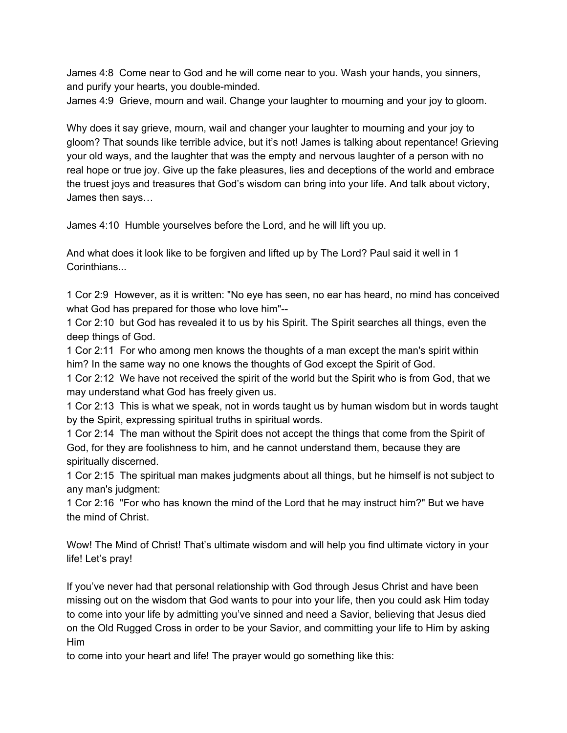James 4:8 Come near to God and he will come near to you. Wash your hands, you sinners, and purify your hearts, you double-minded.

James 4:9 Grieve, mourn and wail. Change your laughter to mourning and your joy to gloom.

Why does it say grieve, mourn, wail and changer your laughter to mourning and your joy to gloom? That sounds like terrible advice, but it's not! James is talking about repentance! Grieving your old ways, and the laughter that was the empty and nervous laughter of a person with no real hope or true joy. Give up the fake pleasures, lies and deceptions of the world and embrace the truest joys and treasures that God's wisdom can bring into your life. And talk about victory, James then says…

James 4:10 Humble yourselves before the Lord, and he will lift you up.

And what does it look like to be forgiven and lifted up by The Lord? Paul said it well in 1 Corinthians...

1 Cor 2:9 However, as it is written: "No eye has seen, no ear has heard, no mind has conceived what God has prepared for those who love him"--

1 Cor 2:10 but God has revealed it to us by his Spirit. The Spirit searches all things, even the deep things of God.

1 Cor 2:11 For who among men knows the thoughts of a man except the man's spirit within him? In the same way no one knows the thoughts of God except the Spirit of God.

1 Cor 2:12 We have not received the spirit of the world but the Spirit who is from God, that we may understand what God has freely given us.

1 Cor 2:13 This is what we speak, not in words taught us by human wisdom but in words taught by the Spirit, expressing spiritual truths in spiritual words.

1 Cor 2:14 The man without the Spirit does not accept the things that come from the Spirit of God, for they are foolishness to him, and he cannot understand them, because they are spiritually discerned.

1 Cor 2:15 The spiritual man makes judgments about all things, but he himself is not subject to any man's judgment:

1 Cor 2:16 "For who has known the mind of the Lord that he may instruct him?" But we have the mind of Christ.

Wow! The Mind of Christ! That's ultimate wisdom and will help you find ultimate victory in your life! Let's pray!

If you've never had that personal relationship with God through Jesus Christ and have been missing out on the wisdom that God wants to pour into your life, then you could ask Him today to come into your life by admitting you've sinned and need a Savior, believing that Jesus died on the Old Rugged Cross in order to be your Savior, and committing your life to Him by asking Him

to come into your heart and life! The prayer would go something like this: